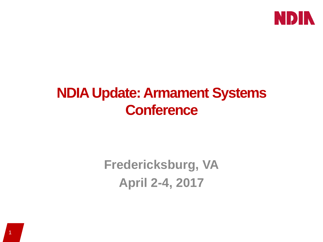

### **NDIA Update: Armament Systems Conference**

# **Fredericksburg, VA April 2-4, 2017**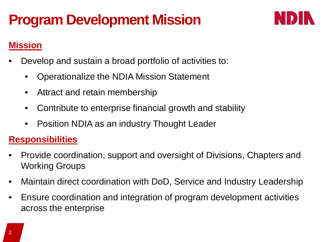# **Program Development Mission**



### **Mission**

- Develop and sustain a broad portfolio of activities to:
	- Operationalize the NDIA Mission Statement
	- Attract and retain membership
	- Contribute to enterprise financial growth and stability
	- Position NDIA as an industry Thought Leader

#### **Responsibilities**

- Provide coordination, support and oversight of Divisions, Chapters and Working Groups
- Maintain direct coordination with DoD, Service and Industry Leadership
- Ensure coordination and integration of program development activities across the enterprise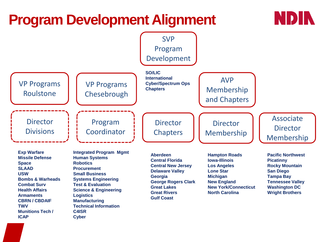# **Program Development Alignment**



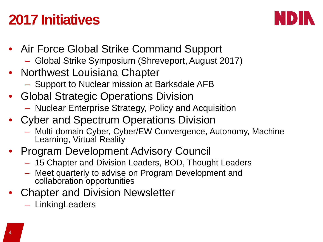# **2017 Initiatives**



- Air Force Global Strike Command Support
	- Global Strike Symposium (Shreveport, August 2017)
- Northwest Louisiana Chapter
	- Support to Nuclear mission at Barksdale AFB
- Global Strategic Operations Division
	- Nuclear Enterprise Strategy, Policy and Acquisition
- Cyber and Spectrum Operations Division
	- Multi-domain Cyber, Cyber/EW Convergence, Autonomy, Machine Learning, Virtual Reality
- Program Development Advisory Council
	- 15 Chapter and Division Leaders, BOD, Thought Leaders
	- Meet quarterly to advise on Program Development and collaboration opportunities
- Chapter and Division Newsletter
	- LinkingLeaders